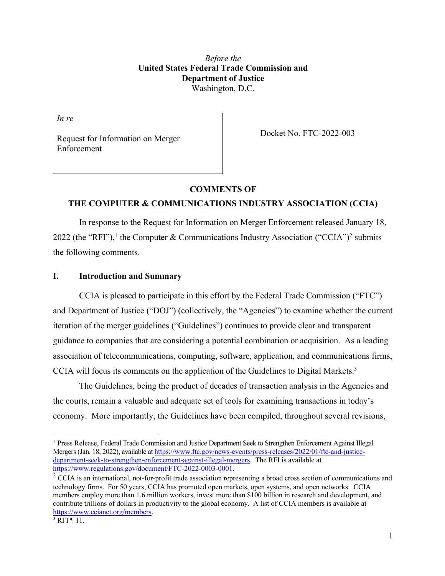*Before the* **United States Federal Trade Commission and Department of Justice** Washington, D.C.

*In re*

Request for Information on Merger Enforcement

Docket No. FTC-2022-003

#### **COMMENTS OF**

# **THE COMPUTER & COMMUNICATIONS INDUSTRY ASSOCIATION (CCIA)**

In response to the Request for Information on Merger Enforcement released January 18, 2022 (the "RFI"),<sup>1</sup> the Computer & Communications Industry Association ("CCIA")<sup>2</sup> submits the following comments.

### **I. Introduction and Summary**

CCIA is pleased to participate in this effort by the Federal Trade Commission ("FTC") and Department of Justice ("DOJ") (collectively, the "Agencies") to examine whether the current iteration of the merger guidelines ("Guidelines") continues to provide clear and transparent guidance to companies that are considering a potential combination or acquisition. As a leading association of telecommunications, computing, software, application, and communications firms, CCIA will focus its comments on the application of the Guidelines to Digital Markets.<sup>3</sup>

The Guidelines, being the product of decades of transaction analysis in the Agencies and the courts, remain a valuable and adequate set of tools for examining transactions in today's economy. More importantly, the Guidelines have been compiled, throughout several revisions,

<sup>&</sup>lt;sup>1</sup> Press Release, Federal Trade Commission and Justice Department Seek to Strengthen Enforcement Against Illegal Mergers (Jan. 18, 2022), available at https://www.ftc.gov/news-events/press-releases/2022/01/ftc-and-justicedepartment-seek-to-strengthen-enforcement-against-illegal-mergers. The RFI is available at https://www.regulations.gov/document/FTC-2022-0003-0001.

 $2$  CCIA is an international, not-for-profit trade association representing a broad cross section of communications and technology firms. For 50 years, CCIA has promoted open markets, open systems, and open networks. CCIA members employ more than 1.6 million workers, invest more than \$100 billion in research and development, and contribute trillions of dollars in productivity to the global economy. A list of CCIA members is available at https://www.ccianet.org/members.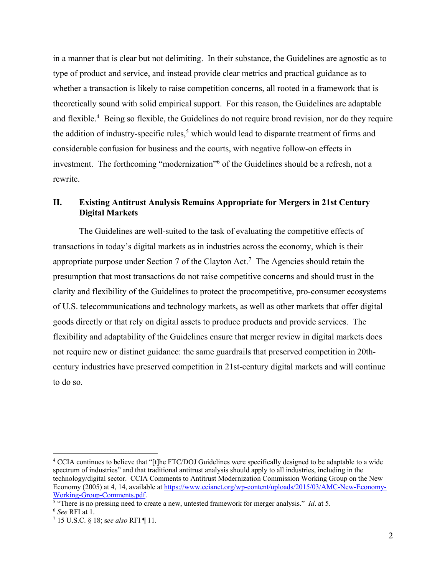in a manner that is clear but not delimiting. In their substance, the Guidelines are agnostic as to type of product and service, and instead provide clear metrics and practical guidance as to whether a transaction is likely to raise competition concerns, all rooted in a framework that is theoretically sound with solid empirical support. For this reason, the Guidelines are adaptable and flexible.<sup>4</sup> Being so flexible, the Guidelines do not require broad revision, nor do they require the addition of industry-specific rules,<sup>5</sup> which would lead to disparate treatment of firms and considerable confusion for business and the courts, with negative follow-on effects in investment. The forthcoming "modernization"<sup>6</sup> of the Guidelines should be a refresh, not a rewrite.

# **II. Existing Antitrust Analysis Remains Appropriate for Mergers in 21st Century Digital Markets**

The Guidelines are well-suited to the task of evaluating the competitive effects of transactions in today's digital markets as in industries across the economy, which is their appropriate purpose under Section 7 of the Clayton Act.<sup>7</sup> The Agencies should retain the presumption that most transactions do not raise competitive concerns and should trust in the clarity and flexibility of the Guidelines to protect the procompetitive, pro-consumer ecosystems of U.S. telecommunications and technology markets, as well as other markets that offer digital goods directly or that rely on digital assets to produce products and provide services. The flexibility and adaptability of the Guidelines ensure that merger review in digital markets does not require new or distinct guidance: the same guardrails that preserved competition in 20thcentury industries have preserved competition in 21st-century digital markets and will continue to do so.

<sup>4</sup> CCIA continues to believe that "[t]he FTC/DOJ Guidelines were specifically designed to be adaptable to a wide spectrum of industries" and that traditional antitrust analysis should apply to all industries, including in the technology/digital sector. CCIA Comments to Antitrust Modernization Commission Working Group on the New Economy (2005) at 4, 14, available at https://www.ccianet.org/wp-content/uploads/2015/03/AMC-New-Economy-Working-Group-Comments.pdf. 5 "There is no pressing need to create a new, untested framework for merger analysis." *Id*. at 5.

<sup>6</sup> *See* RFI at 1.

<sup>7</sup> 15 U.S.C. § 18; s*ee also* RFI ¶ 11.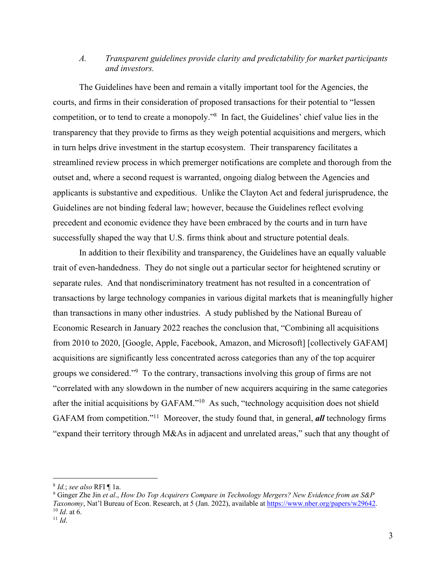## *A. Transparent guidelines provide clarity and predictability for market participants and investors.*

The Guidelines have been and remain a vitally important tool for the Agencies, the courts, and firms in their consideration of proposed transactions for their potential to "lessen competition, or to tend to create a monopoly."8 In fact, the Guidelines' chief value lies in the transparency that they provide to firms as they weigh potential acquisitions and mergers, which in turn helps drive investment in the startup ecosystem. Their transparency facilitates a streamlined review process in which premerger notifications are complete and thorough from the outset and, where a second request is warranted, ongoing dialog between the Agencies and applicants is substantive and expeditious. Unlike the Clayton Act and federal jurisprudence, the Guidelines are not binding federal law; however, because the Guidelines reflect evolving precedent and economic evidence they have been embraced by the courts and in turn have successfully shaped the way that U.S. firms think about and structure potential deals.

In addition to their flexibility and transparency, the Guidelines have an equally valuable trait of even-handedness. They do not single out a particular sector for heightened scrutiny or separate rules. And that nondiscriminatory treatment has not resulted in a concentration of transactions by large technology companies in various digital markets that is meaningfully higher than transactions in many other industries. A study published by the National Bureau of Economic Research in January 2022 reaches the conclusion that, "Combining all acquisitions from 2010 to 2020, [Google, Apple, Facebook, Amazon, and Microsoft] [collectively GAFAM] acquisitions are significantly less concentrated across categories than any of the top acquirer groups we considered."<sup>9</sup> To the contrary, transactions involving this group of firms are not "correlated with any slowdown in the number of new acquirers acquiring in the same categories after the initial acquisitions by GAFAM."<sup>10</sup> As such, "technology acquisition does not shield GAFAM from competition.<sup>"11</sup> Moreover, the study found that, in general, **all** technology firms "expand their territory through M&As in adjacent and unrelated areas," such that any thought of

<sup>&</sup>lt;sup>8</sup> *Id.*; *see also* RFI ¶ 1a.<br><sup>9</sup> Ginger Zhe Jin *et al., How Do Top Acquirers Compare in Technology Mergers? New Evidence from an S&P Taxonomy*, Nat'l Bureau of Econ. Research, at 5 (Jan. 2022), available at https://www.nber.org/papers/w29642. <sup>10</sup> *Id*. at 6. <sup>11</sup> *Id*.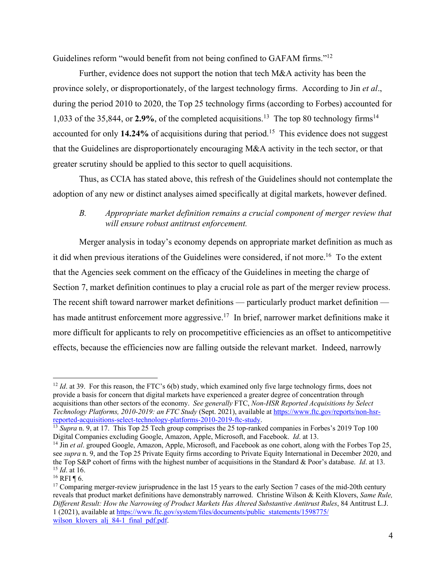Guidelines reform "would benefit from not being confined to GAFAM firms."12

Further, evidence does not support the notion that tech M&A activity has been the province solely, or disproportionately, of the largest technology firms. According to Jin *et al*., during the period 2010 to 2020, the Top 25 technology firms (according to Forbes) accounted for 1,033 of the 35,844, or **2.9%**, of the completed acquisitions.13 The top 80 technology firms14 accounted for only **14.24%** of acquisitions during that period.15 This evidence does not suggest that the Guidelines are disproportionately encouraging M&A activity in the tech sector, or that greater scrutiny should be applied to this sector to quell acquisitions.

Thus, as CCIA has stated above, this refresh of the Guidelines should not contemplate the adoption of any new or distinct analyses aimed specifically at digital markets, however defined.

# *B. Appropriate market definition remains a crucial component of merger review that will ensure robust antitrust enforcement.*

Merger analysis in today's economy depends on appropriate market definition as much as it did when previous iterations of the Guidelines were considered, if not more. 16 To the extent that the Agencies seek comment on the efficacy of the Guidelines in meeting the charge of Section 7, market definition continues to play a crucial role as part of the merger review process. The recent shift toward narrower market definitions — particularly product market definition has made antitrust enforcement more aggressive.<sup>17</sup> In brief, narrower market definitions make it more difficult for applicants to rely on procompetitive efficiencies as an offset to anticompetitive effects, because the efficiencies now are falling outside the relevant market. Indeed, narrowly

<sup>&</sup>lt;sup>12</sup> *Id.* at 39. For this reason, the FTC's 6(b) study, which examined only five large technology firms, does not provide a basis for concern that digital markets have experienced a greater degree of concentration through acquisitions than other sectors of the economy. *See generally* FTC, *Non-HSR Reported Acquisitions by Select Technology Platforms, 2010-2019: an FTC Study* (Sept. 2021), available at https://www.ftc.gov/reports/non-hsrreported-acquisitions-select-technology-platforms-2010-2019-ftc-study.

<sup>&</sup>lt;sup>13</sup> *Supra* n. 9, at 17. This Top 25 Tech group comprises the 25 top-ranked companies in Forbes's 2019 Top 100 Digital Companies excluding Google, Amazon, Apple, Microsoft, and Facebook. *Id*. at 13.

<sup>&</sup>lt;sup>14</sup> Jin *et al.* grouped Google, Amazon, Apple, Microsoft, and Facebook as one cohort, along with the Forbes Top 25, see *supra* n. 9, and the Top 25 Private Equity firms according to Private Equity International in December 2020, and the Top S&P cohort of firms with the highest number of acquisitions in the Standard & Poor's database. *Id*. at 13. <sup>15</sup> *Id.* at 16.<br><sup>16</sup> RFI ¶ 6.<br><sup>17</sup> Comparing merger-review jurisprudence in the last 15 years to the early Section 7 cases of the mid-20th century

reveals that product market definitions have demonstrably narrowed. Christine Wilson & Keith Klovers, *Same Rule, Different Result: How the Narrowing of Product Markets Has Altered Substantive Antitrust Rules*, 84 Antitrust L.J. 1 (2021), available at https://www.ftc.gov/system/files/documents/public\_statements/1598775/ wilson klovers alj 84-1 final pdf.pdf.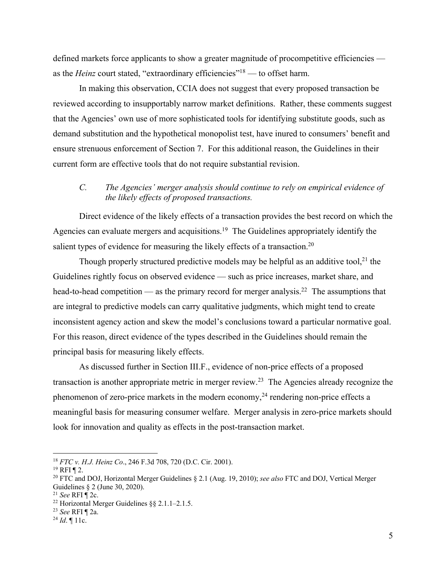defined markets force applicants to show a greater magnitude of procompetitive efficiencies as the *Heinz* court stated, "extraordinary efficiencies"<sup>18</sup> — to offset harm.

In making this observation, CCIA does not suggest that every proposed transaction be reviewed according to insupportably narrow market definitions. Rather, these comments suggest that the Agencies' own use of more sophisticated tools for identifying substitute goods, such as demand substitution and the hypothetical monopolist test, have inured to consumers' benefit and ensure strenuous enforcement of Section 7. For this additional reason, the Guidelines in their current form are effective tools that do not require substantial revision.

### *C. The Agencies' merger analysis should continue to rely on empirical evidence of the likely effects of proposed transactions.*

Direct evidence of the likely effects of a transaction provides the best record on which the Agencies can evaluate mergers and acquisitions.<sup>19</sup> The Guidelines appropriately identify the salient types of evidence for measuring the likely effects of a transaction.<sup>20</sup>

Though properly structured predictive models may be helpful as an additive tool,<sup>21</sup> the Guidelines rightly focus on observed evidence — such as price increases, market share, and head-to-head competition — as the primary record for merger analysis.<sup>22</sup> The assumptions that are integral to predictive models can carry qualitative judgments, which might tend to create inconsistent agency action and skew the model's conclusions toward a particular normative goal. For this reason, direct evidence of the types described in the Guidelines should remain the principal basis for measuring likely effects.

As discussed further in Section III.F., evidence of non-price effects of a proposed transaction is another appropriate metric in merger review.<sup>23</sup> The Agencies already recognize the phenomenon of zero-price markets in the modern economy,<sup>24</sup> rendering non-price effects a meaningful basis for measuring consumer welfare. Merger analysis in zero-price markets should look for innovation and quality as effects in the post-transaction market.

<sup>18</sup> *FTC v. H.J. Heinz Co*., 246 F.3d 708, 720 (D.C. Cir. 2001).

<sup>19</sup> RFI ¶ 2. 20 FTC and DOJ, Horizontal Merger Guidelines § 2.1 (Aug. 19, 2010); *see also* FTC and DOJ, Vertical Merger Guidelines § 2 (June 30, 2020).

<sup>21</sup> *See* RFI ¶ 2c.

<sup>22</sup> Horizontal Merger Guidelines §§ 2.1.1–2.1.5.

<sup>23</sup> *See* RFI ¶ 2a. 24 *Id*. ¶ 11c.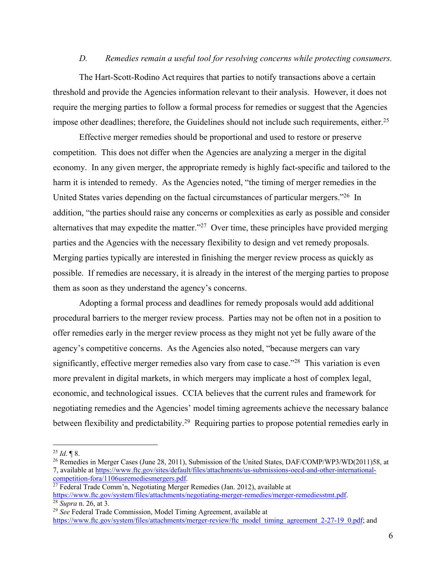#### *D. Remedies remain a useful tool for resolving concerns while protecting consumers.*

The Hart-Scott-Rodino Act requires that parties to notify transactions above a certain threshold and provide the Agencies information relevant to their analysis. However, it does not require the merging parties to follow a formal process for remedies or suggest that the Agencies impose other deadlines; therefore, the Guidelines should not include such requirements, either.<sup>25</sup>

Effective merger remedies should be proportional and used to restore or preserve competition. This does not differ when the Agencies are analyzing a merger in the digital economy. In any given merger, the appropriate remedy is highly fact-specific and tailored to the harm it is intended to remedy. As the Agencies noted, "the timing of merger remedies in the United States varies depending on the factual circumstances of particular mergers."<sup>26</sup> In addition, "the parties should raise any concerns or complexities as early as possible and consider alternatives that may expedite the matter. $127$  Over time, these principles have provided merging parties and the Agencies with the necessary flexibility to design and vet remedy proposals. Merging parties typically are interested in finishing the merger review process as quickly as possible. If remedies are necessary, it is already in the interest of the merging parties to propose them as soon as they understand the agency's concerns.

Adopting a formal process and deadlines for remedy proposals would add additional procedural barriers to the merger review process. Parties may not be often not in a position to offer remedies early in the merger review process as they might not yet be fully aware of the agency's competitive concerns. As the Agencies also noted, "because mergers can vary significantly, effective merger remedies also vary from case to case."<sup>28</sup> This variation is even more prevalent in digital markets, in which mergers may implicate a host of complex legal, economic, and technological issues. CCIA believes that the current rules and framework for negotiating remedies and the Agencies' model timing agreements achieve the necessary balance between flexibility and predictability.<sup>29</sup> Requiring parties to propose potential remedies early in

<sup>&</sup>lt;sup>25</sup> *Id*. ¶ 8.<br><sup>26</sup> Remedies in Merger Cases (June 28, 2011), Submission of the United States, DAF/COMP/WP3/WD(2011)58, at 7, available at https://www.ftc.gov/sites/default/files/attachments/us-submissions-oecd-and-other-international-

 $27$  Federal Trade Comm'n, Negotiating Merger Remedies (Jan. 2012), available at https://www.ftc.gov/system/files/attachments/negotiating-merger-remedies/merger-remediesstmt.pdf. 28 *Supra* n. 26, at 3.

<sup>29</sup> *See* Federal Trade Commission, Model Timing Agreement, available at https://www.ftc.gov/system/files/attachments/merger-review/ftc\_model\_timing\_agreement\_2-27-19\_0.pdf; and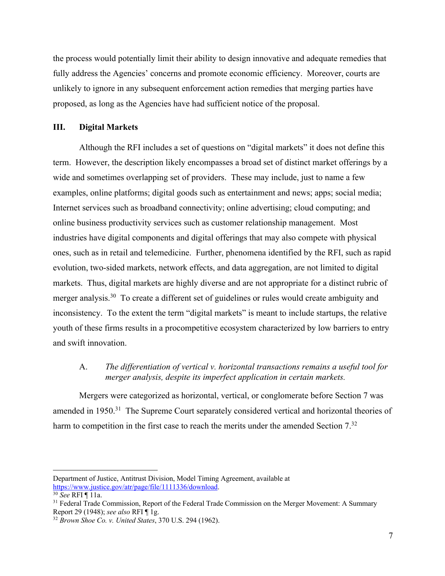the process would potentially limit their ability to design innovative and adequate remedies that fully address the Agencies' concerns and promote economic efficiency. Moreover, courts are unlikely to ignore in any subsequent enforcement action remedies that merging parties have proposed, as long as the Agencies have had sufficient notice of the proposal.

#### **III. Digital Markets**

Although the RFI includes a set of questions on "digital markets" it does not define this term. However, the description likely encompasses a broad set of distinct market offerings by a wide and sometimes overlapping set of providers. These may include, just to name a few examples, online platforms; digital goods such as entertainment and news; apps; social media; Internet services such as broadband connectivity; online advertising; cloud computing; and online business productivity services such as customer relationship management. Most industries have digital components and digital offerings that may also compete with physical ones, such as in retail and telemedicine. Further, phenomena identified by the RFI, such as rapid evolution, two-sided markets, network effects, and data aggregation, are not limited to digital markets. Thus, digital markets are highly diverse and are not appropriate for a distinct rubric of merger analysis.<sup>30</sup> To create a different set of guidelines or rules would create ambiguity and inconsistency. To the extent the term "digital markets" is meant to include startups, the relative youth of these firms results in a procompetitive ecosystem characterized by low barriers to entry and swift innovation.

## A. *The differentiation of vertical v. horizontal transactions remains a useful tool for merger analysis, despite its imperfect application in certain markets.*

Mergers were categorized as horizontal, vertical, or conglomerate before Section 7 was amended in 1950.<sup>31</sup> The Supreme Court separately considered vertical and horizontal theories of harm to competition in the first case to reach the merits under the amended Section 7.<sup>32</sup>

Department of Justice, Antitrust Division, Model Timing Agreement, available at https://www.justice.gov/atr/page/file/1111336/download. 30 *See* RFI ¶ 11a.

<sup>&</sup>lt;sup>31</sup> Federal Trade Commission, Report of the Federal Trade Commission on the Merger Movement: A Summary Report 29 (1948); *see also* RFI  $\P$  1g.

<sup>&</sup>lt;sup>32</sup> Brown Shoe Co. v. United States, 370 U.S. 294 (1962).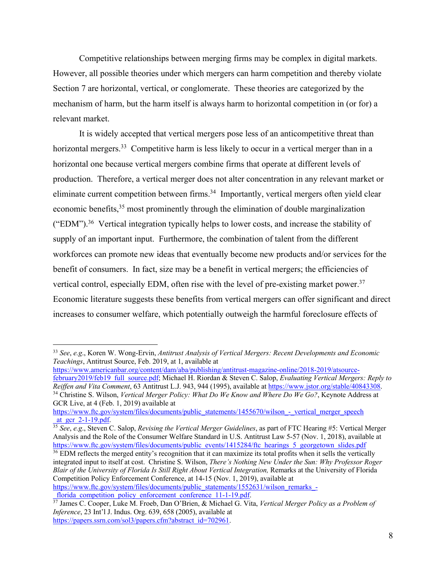Competitive relationships between merging firms may be complex in digital markets. However, all possible theories under which mergers can harm competition and thereby violate Section 7 are horizontal, vertical, or conglomerate. These theories are categorized by the mechanism of harm, but the harm itself is always harm to horizontal competition in (or for) a relevant market.

It is widely accepted that vertical mergers pose less of an anticompetitive threat than horizontal mergers.<sup>33</sup> Competitive harm is less likely to occur in a vertical merger than in a horizontal one because vertical mergers combine firms that operate at different levels of production. Therefore, a vertical merger does not alter concentration in any relevant market or eliminate current competition between firms.<sup>34</sup> Importantly, vertical mergers often yield clear economic benefits,<sup>35</sup> most prominently through the elimination of double marginalization ("EDM").36 Vertical integration typically helps to lower costs, and increase the stability of supply of an important input. Furthermore, the combination of talent from the different workforces can promote new ideas that eventually become new products and/or services for the benefit of consumers.In fact, size may be a benefit in vertical mergers; the efficiencies of vertical control, especially EDM, often rise with the level of pre-existing market power.<sup>37</sup> Economic literature suggests these benefits from vertical mergers can offer significant and direct increases to consumer welfare, which potentially outweigh the harmful foreclosure effects of

https://www.americanbar.org/content/dam/aba/publishing/antitrust-magazine-online/2018-2019/atsourcefebruary2019/feb19\_full\_source.pdf; Michael H. Riordan & Steven C. Salop, *Evaluating Vertical Mergers: Reply to Reiffen and Vita Comment*, 63 Antitrust L.J. 943, 944 (1995), available at https://www.jstor.org/stable/40843308. <sup>34</sup> Christine S. Wilson, *Vertical Merger Policy: What Do We Know and Where Do We Go?*, Keynote Address at GCR Live, at 4 (Feb. 1, 2019) available at

<sup>35</sup> *See*, *e.g.*, Steven C. Salop, *Revising the Vertical Merger Guidelines*, as part of FTC Hearing #5: Vertical Merger Analysis and the Role of the Consumer Welfare Standard in U.S. Antitrust Law 5-57 (Nov. 1, 2018), available at https://www.ftc.gov/system/files/documents/public\_events/1415284/ftc\_hearings\_5\_georgetown\_slides.pdf

<sup>36</sup> EDM reflects the merged entity's recognition that it can maximize its total profits when it sells the vertically integrated input to itself at cost. Christine S. Wilson, *There's Nothing New Under the Sun: Why Professor Roger Blair of the University of Florida Is Still Right About Vertical Integration,* Remarks at the University of Florida Competition Policy Enforcement Conference, at 14-15 (Nov. 1, 2019), available at

https://www.ftc.gov/system/files/documents/public\_statements/1552631/wilson\_remarks\_-<br>florida\_competition\_policy\_enforcement\_conference\_11-1-19.pdf.

<sup>33</sup> *See*, *e.g*., Koren W. Wong-Ervin, *Antitrust Analysis of Vertical Mergers: Recent Developments and Economic Teachings*, Antitrust Source, Feb. 2019, at 1, available at

https://www.ftc.gov/system/files/documents/public\_statements/1455670/wilson\_-\_vertical\_merger\_speech<br>at gcr 2-1-19.pdf.

\_florida\_competition\_policy\_enforcement\_conference\_11-1-19.pdf. 37 James C. Cooper, Luke M. Froeb, Dan O'Brien, & Michael G. Vita, *Vertical Merger Policy as a Problem of Inference*, 23 Int'l J. Indus. Org. 639, 658 (2005), available at https://papers.ssrn.com/sol3/papers.cfm?abstract\_id=702961.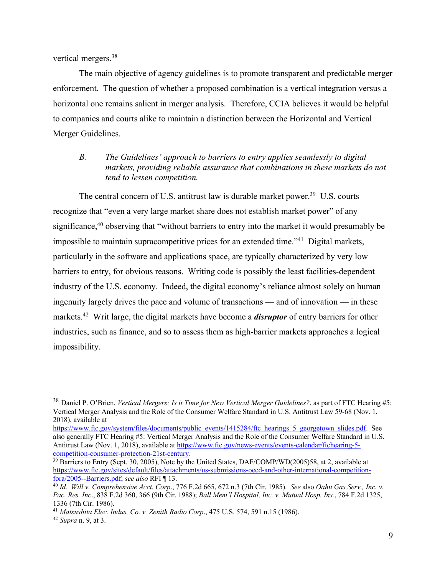vertical mergers.38

The main objective of agency guidelines is to promote transparent and predictable merger enforcement. The question of whether a proposed combination is a vertical integration versus a horizontal one remains salient in merger analysis. Therefore, CCIA believes it would be helpful to companies and courts alike to maintain a distinction between the Horizontal and Vertical Merger Guidelines.

*B. The Guidelines' approach to barriers to entry applies seamlessly to digital markets, providing reliable assurance that combinations in these markets do not tend to lessen competition.*

The central concern of U.S. antitrust law is durable market power.<sup>39</sup> U.S. courts recognize that "even a very large market share does not establish market power" of any significance,<sup>40</sup> observing that "without barriers to entry into the market it would presumably be impossible to maintain supracompetitive prices for an extended time."41 Digital markets, particularly in the software and applications space, are typically characterized by very low barriers to entry, for obvious reasons. Writing code is possibly the least facilities-dependent industry of the U.S. economy. Indeed, the digital economy's reliance almost solely on human ingenuity largely drives the pace and volume of transactions — and of innovation — in these markets. 42 Writ large, the digital markets have become a *disruptor* of entry barriers for other industries, such as finance, and so to assess them as high-barrier markets approaches a logical impossibility.

<sup>38</sup> Daniel P. O'Brien, *Vertical Mergers: Is it Time for New Vertical Merger Guidelines?*, as part of FTC Hearing #5: Vertical Merger Analysis and the Role of the Consumer Welfare Standard in U.S. Antitrust Law 59-68 (Nov. 1, 2018), available at

https://www.ftc.gov/system/files/documents/public\_events/1415284/ftc\_hearings\_5\_georgetown\_slides.pdf. See also generally FTC Hearing #5: Vertical Merger Analysis and the Role of the Consumer Welfare Standard in U.S. Antitrust Law (Nov. 1, 2018), available at https://www.ftc.gov/news-events/events-calendar/ftchearing-5 competition-consumer-protection-21st-century.

<sup>&</sup>lt;sup>39</sup> Barriers to Entry (Sept. 30, 2005), Note by the United States, DAF/COMP/WD(2005)58, at 2, available at https://www.ftc.gov/sites/default/files/attachments/us-submissions-oecd-and-other-international-competitionfora/2005--Barriers.pdf; *see also* RFI ¶ 13. 40 *Id. Will v. Comprehensive Acct. Corp*., 776 F.2d 665, 672 n.3 (7th Cir. 1985). *See* also *Oahu Gas Serv., Inc. v.* 

*Pac. Res. Inc*., 838 F.2d 360, 366 (9th Cir. 1988); *Ball Mem'l Hospital, Inc. v. Mutual Hosp. Ins.*, 784 F.2d 1325, 1336 (7th Cir. 1986).

<sup>41</sup> *Matsushita Elec. Indus. Co. v. Zenith Radio Corp*., 475 U.S. 574, 591 n.15 (1986). 42 *Supra* n. 9, at 3.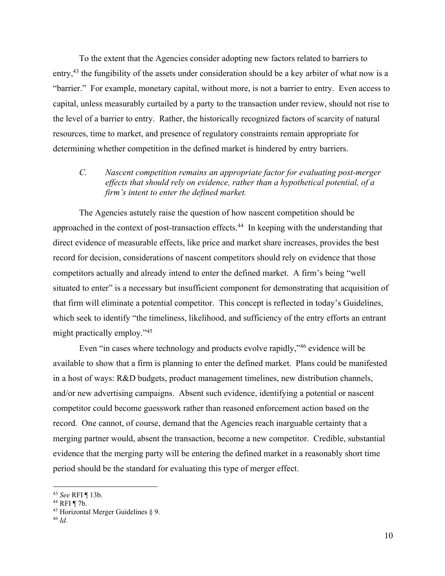To the extent that the Agencies consider adopting new factors related to barriers to entry,<sup>43</sup> the fungibility of the assets under consideration should be a key arbiter of what now is a "barrier." For example, monetary capital, without more, is not a barrier to entry. Even access to capital, unless measurably curtailed by a party to the transaction under review, should not rise to the level of a barrier to entry. Rather, the historically recognized factors of scarcity of natural resources, time to market, and presence of regulatory constraints remain appropriate for determining whether competition in the defined market is hindered by entry barriers.

# *C. Nascent competition remains an appropriate factor for evaluating post-merger effects that should rely on evidence, rather than a hypothetical potential, of a firm's intent to enter the defined market.*

The Agencies astutely raise the question of how nascent competition should be approached in the context of post-transaction effects.<sup>44</sup> In keeping with the understanding that direct evidence of measurable effects, like price and market share increases, provides the best record for decision, considerations of nascent competitors should rely on evidence that those competitors actually and already intend to enter the defined market. A firm's being "well situated to enter" is a necessary but insufficient component for demonstrating that acquisition of that firm will eliminate a potential competitor. This concept is reflected in today's Guidelines, which seek to identify "the timeliness, likelihood, and sufficiency of the entry efforts an entrant might practically employ."45

Even "in cases where technology and products evolve rapidly,"46 evidence will be available to show that a firm is planning to enter the defined market. Plans could be manifested in a host of ways: R&D budgets, product management timelines, new distribution channels, and/or new advertising campaigns. Absent such evidence, identifying a potential or nascent competitor could become guesswork rather than reasoned enforcement action based on the record. One cannot, of course, demand that the Agencies reach inarguable certainty that a merging partner would, absent the transaction, become a new competitor. Credible, substantial evidence that the merging party will be entering the defined market in a reasonably short time period should be the standard for evaluating this type of merger effect.

<sup>43</sup> *See* RFI ¶ 13b.

<sup>&</sup>lt;sup>44</sup> RFI ¶ 7b.<br><sup>45</sup> Horizontal Merger Guidelines § 9.

<sup>46</sup> *Id.*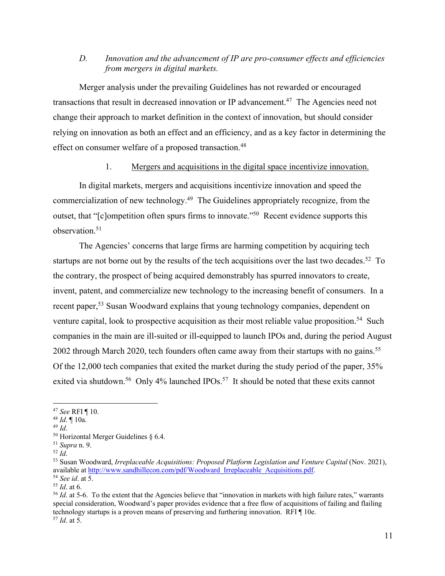# *D. Innovation and the advancement of IP are pro-consumer effects and efficiencies from mergers in digital markets.*

Merger analysis under the prevailing Guidelines has not rewarded or encouraged transactions that result in decreased innovation or IP advancement.<sup>47</sup> The Agencies need not change their approach to market definition in the context of innovation, but should consider relying on innovation as both an effect and an efficiency, and as a key factor in determining the effect on consumer welfare of a proposed transaction.<sup>48</sup>

### 1. Mergers and acquisitions in the digital space incentivize innovation.

In digital markets, mergers and acquisitions incentivize innovation and speed the commercialization of new technology. 49 The Guidelines appropriately recognize, from the outset, that "[c]ompetition often spurs firms to innovate."50 Recent evidence supports this observation.<sup>51</sup>

The Agencies' concerns that large firms are harming competition by acquiring tech startups are not borne out by the results of the tech acquisitions over the last two decades.<sup>52</sup> To the contrary, the prospect of being acquired demonstrably has spurred innovators to create, invent, patent, and commercialize new technology to the increasing benefit of consumers. In a recent paper,<sup>53</sup> Susan Woodward explains that young technology companies, dependent on venture capital, look to prospective acquisition as their most reliable value proposition.<sup>54</sup> Such companies in the main are ill-suited or ill-equipped to launch IPOs and, during the period August 2002 through March 2020, tech founders often came away from their startups with no gains.<sup>55</sup> Of the 12,000 tech companies that exited the market during the study period of the paper, 35% exited via shutdown.<sup>56</sup> Only 4% launched IPOs.<sup>57</sup> It should be noted that these exits cannot

<sup>47</sup> *See* RFI ¶ 10. 48 *Id*. ¶ 10a.

<sup>49</sup> *Id*.

 $50$  Horizontal Merger Guidelines § 6.4.

<sup>51</sup> *Supra* n. 9.

 $52$  *Id.* 

<sup>53</sup> Susan Woodward, *Irreplaceable Acquisitions: Proposed Platform Legislation and Venture Capital* (Nov. 2021), available at <u>http://www.sandhillecon.com/pdf/Woodward</u>\_Irreplaceable\_Acquisitions.pdf.<br><sup>54</sup> See id. at 5.<br><sup>55</sup> Id. at 6.<br><sup>55</sup> Id. at 5-6. To the extent that the Agencies believe that "innovation in markets with high fail

special consideration, Woodward's paper provides evidence that a free flow of acquisitions of failing and flailing technology startups is a proven means of preserving and furthering innovation. RFI ¶ 10e. 57 *Id*. at 5.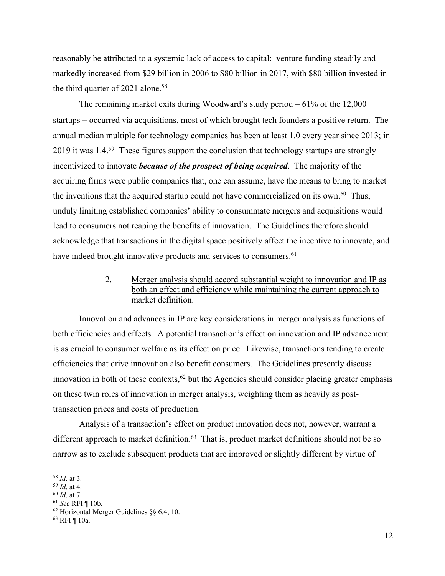reasonably be attributed to a systemic lack of access to capital: venture funding steadily and markedly increased from \$29 billion in 2006 to \$80 billion in 2017, with \$80 billion invested in the third quarter of 2021 alone.<sup>58</sup>

The remaining market exits during Woodward's study period  $-61\%$  of the 12,000 startups – occurred via acquisitions, most of which brought tech founders a positive return. The annual median multiple for technology companies has been at least 1.0 every year since 2013; in 2019 it was  $1.4^{59}$  These figures support the conclusion that technology startups are strongly incentivized to innovate *because of the prospect of being acquired*. The majority of the acquiring firms were public companies that, one can assume, have the means to bring to market the inventions that the acquired startup could not have commercialized on its own.<sup>60</sup> Thus, unduly limiting established companies' ability to consummate mergers and acquisitions would lead to consumers not reaping the benefits of innovation. The Guidelines therefore should acknowledge that transactions in the digital space positively affect the incentive to innovate, and have indeed brought innovative products and services to consumers.<sup>61</sup>

# 2. Merger analysis should accord substantial weight to innovation and IP as both an effect and efficiency while maintaining the current approach to market definition.

Innovation and advances in IP are key considerations in merger analysis as functions of both efficiencies and effects. A potential transaction's effect on innovation and IP advancement is as crucial to consumer welfare as its effect on price. Likewise, transactions tending to create efficiencies that drive innovation also benefit consumers. The Guidelines presently discuss innovation in both of these contexts,  $62$  but the Agencies should consider placing greater emphasis on these twin roles of innovation in merger analysis, weighting them as heavily as posttransaction prices and costs of production.

Analysis of a transaction's effect on product innovation does not, however, warrant a different approach to market definition.<sup>63</sup> That is, product market definitions should not be so narrow as to exclude subsequent products that are improved or slightly different by virtue of

<sup>&</sup>lt;sup>58</sup> *Id.* at 3.<br><sup>59</sup> *Id.* at 4.<br><sup>60</sup> *Id.* at 7.<br><sup>61</sup> *See* RFI ¶ 10b.<br><sup>62</sup> Horizontal Merger Guidelines §§ 6.4, 10.

<sup>63</sup> RFI ¶ 10a.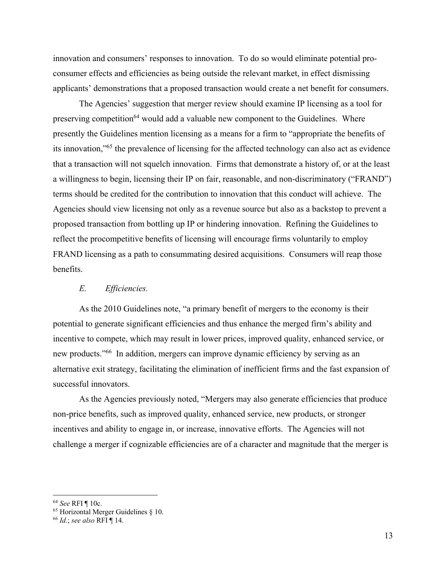innovation and consumers' responses to innovation. To do so would eliminate potential proconsumer effects and efficiencies as being outside the relevant market, in effect dismissing applicants' demonstrations that a proposed transaction would create a net benefit for consumers.

The Agencies' suggestion that merger review should examine IP licensing as a tool for preserving competition<sup>64</sup> would add a valuable new component to the Guidelines. Where presently the Guidelines mention licensing as a means for a firm to "appropriate the benefits of its innovation,"65 the prevalence of licensing for the affected technology can also act as evidence that a transaction will not squelch innovation. Firms that demonstrate a history of, or at the least a willingness to begin, licensing their IP on fair, reasonable, and non-discriminatory ("FRAND") terms should be credited for the contribution to innovation that this conduct will achieve. The Agencies should view licensing not only as a revenue source but also as a backstop to prevent a proposed transaction from bottling up IP or hindering innovation. Refining the Guidelines to reflect the procompetitive benefits of licensing will encourage firms voluntarily to employ FRAND licensing as a path to consummating desired acquisitions. Consumers will reap those benefits.

#### *E. Efficiencies.*

As the 2010 Guidelines note, "a primary benefit of mergers to the economy is their potential to generate significant efficiencies and thus enhance the merged firm's ability and incentive to compete, which may result in lower prices, improved quality, enhanced service, or new products."66 In addition, mergers can improve dynamic efficiency by serving as an alternative exit strategy, facilitating the elimination of inefficient firms and the fast expansion of successful innovators.

As the Agencies previously noted, "Mergers may also generate efficiencies that produce non-price benefits, such as improved quality, enhanced service, new products, or stronger incentives and ability to engage in, or increase, innovative efforts. The Agencies will not challenge a merger if cognizable efficiencies are of a character and magnitude that the merger is

<sup>64</sup> *See* RFI ¶ 10c.

<sup>65</sup> Horizontal Merger Guidelines § 10.

<sup>66</sup> *Id.*; *see also* RFI ¶ 14.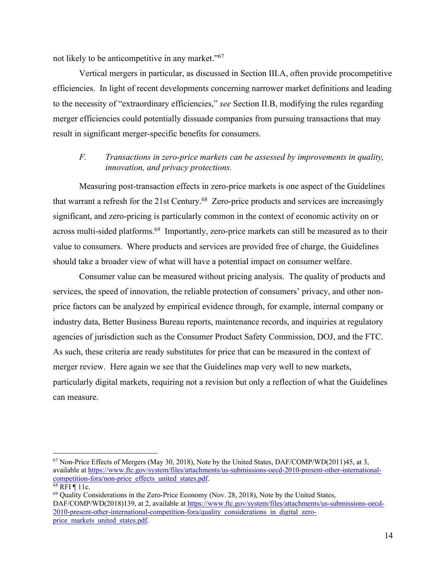not likely to be anticompetitive in any market."67

Vertical mergers in particular, as discussed in Section III.A, often provide procompetitive efficiencies. In light of recent developments concerning narrower market definitions and leading to the necessity of "extraordinary efficiencies," *see* Section II.B, modifying the rules regarding merger efficiencies could potentially dissuade companies from pursuing transactions that may result in significant merger-specific benefits for consumers.

# *F. Transactions in zero-price markets can be assessed by improvements in quality, innovation, and privacy protections.*

Measuring post-transaction effects in zero-price markets is one aspect of the Guidelines that warrant a refresh for the 21st Century.68 Zero-price products and services are increasingly significant, and zero-pricing is particularly common in the context of economic activity on or across multi-sided platforms.<sup>69</sup> Importantly, zero-price markets can still be measured as to their value to consumers. Where products and services are provided free of charge, the Guidelines should take a broader view of what will have a potential impact on consumer welfare.

Consumer value can be measured without pricing analysis. The quality of products and services, the speed of innovation, the reliable protection of consumers' privacy, and other nonprice factors can be analyzed by empirical evidence through, for example, internal company or industry data, Better Business Bureau reports, maintenance records, and inquiries at regulatory agencies of jurisdiction such as the Consumer Product Safety Commission, DOJ, and the FTC. As such, these criteria are ready substitutes for price that can be measured in the context of merger review. Here again we see that the Guidelines map very well to new markets, particularly digital markets, requiring not a revision but only a reflection of what the Guidelines can measure.

<sup>67</sup> Non-Price Effects of Mergers (May 30, 2018), Note by the United States, DAF/COMP/WD(2011)45, at 3, available at https://www.ftc.gov/system/files/attachments/us-submissions-oecd-2010-present-other-internationalcompetition-fora/non-price\_effects\_united\_states.pdf.<br>
<sup>68</sup> RFI ¶ 11c. 69 Quality Considerations in the Zero-Price Economy (Nov. 28, 2018), Note by the United States,

DAF/COMP/WD(2018)139, at 2, available at https://www.ftc.gov/system/files/attachments/us-submissions-oecd-2010-present-other-international-competition-fora/quality\_considerations\_in\_digital\_zeroprice\_markets\_united\_states.pdf.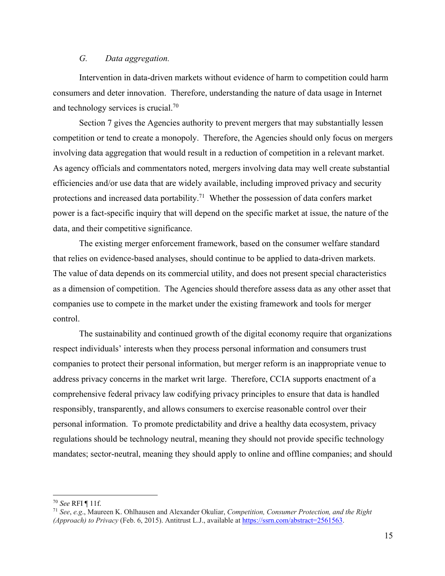#### *G. Data aggregation.*

Intervention in data-driven markets without evidence of harm to competition could harm consumers and deter innovation. Therefore, understanding the nature of data usage in Internet and technology services is crucial.70

Section 7 gives the Agencies authority to prevent mergers that may substantially lessen competition or tend to create a monopoly. Therefore, the Agencies should only focus on mergers involving data aggregation that would result in a reduction of competition in a relevant market. As agency officials and commentators noted, mergers involving data may well create substantial efficiencies and/or use data that are widely available, including improved privacy and security protections and increased data portability.<sup>71</sup> Whether the possession of data confers market power is a fact-specific inquiry that will depend on the specific market at issue, the nature of the data, and their competitive significance.

The existing merger enforcement framework, based on the consumer welfare standard that relies on evidence-based analyses, should continue to be applied to data-driven markets. The value of data depends on its commercial utility, and does not present special characteristics as a dimension of competition. The Agencies should therefore assess data as any other asset that companies use to compete in the market under the existing framework and tools for merger control.

The sustainability and continued growth of the digital economy require that organizations respect individuals' interests when they process personal information and consumers trust companies to protect their personal information, but merger reform is an inappropriate venue to address privacy concerns in the market writ large. Therefore, CCIA supports enactment of a comprehensive federal privacy law codifying privacy principles to ensure that data is handled responsibly, transparently, and allows consumers to exercise reasonable control over their personal information. To promote predictability and drive a healthy data ecosystem, privacy regulations should be technology neutral, meaning they should not provide specific technology mandates; sector-neutral, meaning they should apply to online and offline companies; and should

<sup>70</sup> *See* RFI ¶ 11f. 71 *See*, *e.g*., Maureen K. Ohlhausen and Alexander Okuliar, *Competition, Consumer Protection, and the Right (Approach) to Privacy* (Feb. 6, 2015). Antitrust L.J., available at https://ssrn.com/abstract=2561563.